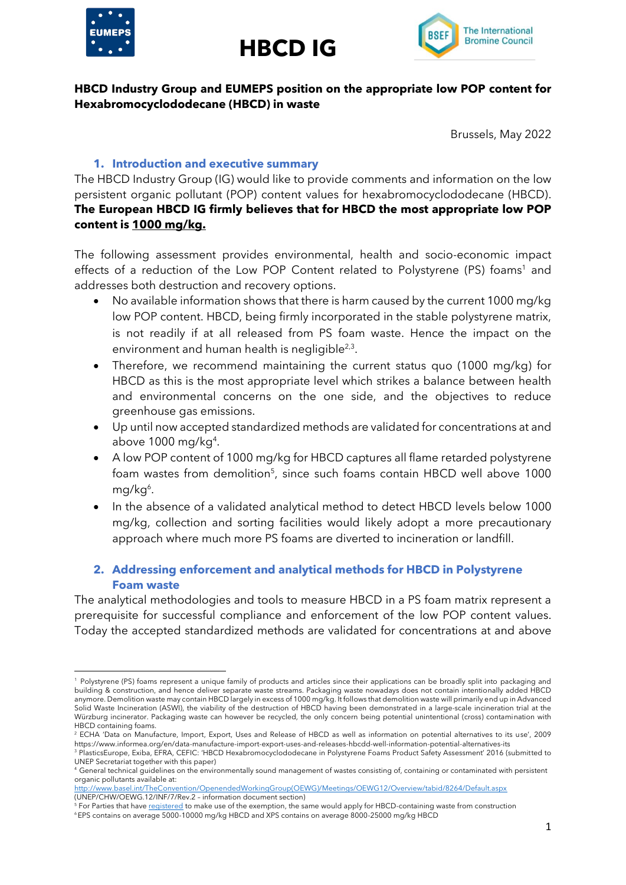





## **HBCD Industry Group and EUMEPS position on the appropriate low POP content for Hexabromocyclododecane (HBCD) in waste**

Brussels, May 2022

#### **1. Introduction and executive summary**

The HBCD Industry Group (IG) would like to provide comments and information on the low persistent organic pollutant (POP) content values for hexabromocyclododecane (HBCD). **The European HBCD IG firmly believes that for HBCD the most appropriate low POP content is 1000 mg/kg.**

The following assessment provides environmental, health and socio-economic impact effects of a reduction of the Low POP Content related to Polystyrene (PS) foams<sup>1</sup> and addresses both destruction and recovery options.

- No available information shows that there is harm caused by the current 1000 mg/kg low POP content. HBCD, being firmly incorporated in the stable polystyrene matrix, is not readily if at all released from PS foam waste. Hence the impact on the environment and human health is negligible<sup>2,3</sup>.
- Therefore, we recommend maintaining the current status quo (1000 mg/kg) for HBCD as this is the most appropriate level which strikes a balance between health and environmental concerns on the one side, and the objectives to reduce greenhouse gas emissions.
- Up until now accepted standardized methods are validated for concentrations at and above  $1000 \,\mathrm{mg/kg^4}$ .
- A low POP content of 1000 mg/kg for HBCD captures all flame retarded polystyrene foam wastes from demolition<sup>5</sup>, since such foams contain HBCD well above 1000 mg/kg<sup>6</sup>.
- In the absence of a validated analytical method to detect HBCD levels below 1000 mg/kg, collection and sorting facilities would likely adopt a more precautionary approach where much more PS foams are diverted to incineration or landfill.

# **2. Addressing enforcement and analytical methods for HBCD in Polystyrene Foam waste**

The analytical methodologies and tools to measure HBCD in a PS foam matrix represent a prerequisite for successful compliance and enforcement of the low POP content values. Today the accepted standardized methods are validated for concentrations at and above

<sup>1</sup> Polystyrene (PS) foams represent a unique family of products and articles since their applications can be broadly split into packaging and building & construction, and hence deliver separate waste streams. Packaging waste nowadays does not contain intentionally added HBCD anymore. Demolition waste may contain HBCD largely in excess of 1000 mg/kg. It follows that demolition waste will primarily end up in Advanced Solid Waste Incineration (ASWI), the viability of the destruction of HBCD having been demonstrated in a large-scale incineration trial at the Würzburg incinerator. Packaging waste can however be recycled, the only concern being potential unintentional (cross) contamination with HBCD containing foams.

<sup>2</sup> ECHA 'Data on Manufacture, Import, Export, Uses and Release of HBCD as well as information on potential alternatives to its use', 2009 https://www.informea.org/en/data-manufacture-import-export-uses-and-releases-hbcdd-well-information-potential-alternatives-its <sup>3</sup> PlasticsEurope, Exiba, EFRA, CEFIC: 'HBCD Hexabromocyclododecane in Polystyrene Foams Product Safety Assessment' 2016 (submitted to

UNEP Secretariat together with this paper) <sup>4</sup> General technical guidelines on the environmentally sound management of wastes consisting of, containing or contaminated with persistent organic pollutants available at:

[http://www.basel.int/TheConvention/OpenendedWorkingGroup\(OEWG\)/Meetings/OEWG12/Overview/tabid/8264/Default.aspx](http://www.basel.int/TheConvention/OpenendedWorkingGroup(OEWG)/Meetings/OEWG12/Overview/tabid/8264/Default.aspx) (UNEP/CHW/OEWG.12/INF/7/Rev.2 – information document section)

<sup>&</sup>lt;sup>5</sup> For Parties that hav[e registered](http://chm.pops.int/Implementation/Exemptionsandacceptablepurposes/RegisterofSpecificExemptions/ChemicalslistedinAnnexA/tabid/4643/Default.aspx#_ftn1) to make use of the exemption, the same would apply for HBCD-containing waste from construction

<sup>6</sup>EPS contains on average 5000-10000 mg/kg HBCD and XPS contains on average 8000-25000 mg/kg HBCD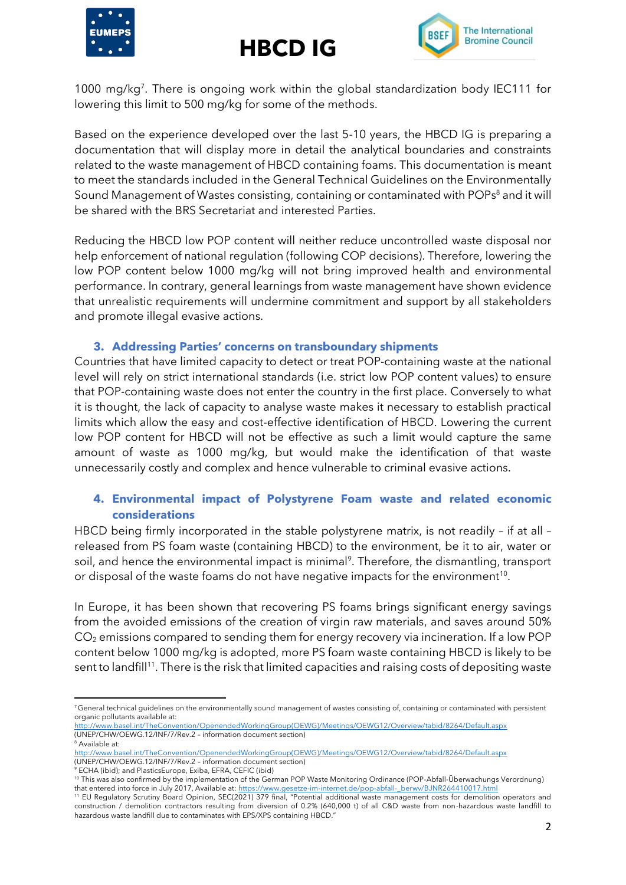





1000 mg/kg 7 . There is ongoing work within the global standardization body IEC111 for lowering this limit to 500 mg/kg for some of the methods.

Based on the experience developed over the last 5-10 years, the HBCD IG is preparing a documentation that will display more in detail the analytical boundaries and constraints related to the waste management of HBCD containing foams. This documentation is meant to meet the standards included in the General Technical Guidelines on the Environmentally Sound Management of Wastes consisting, containing or contaminated with POPs<sup>8</sup> and it will be shared with the BRS Secretariat and interested Parties.

Reducing the HBCD low POP content will neither reduce uncontrolled waste disposal nor help enforcement of national regulation (following COP decisions). Therefore, lowering the low POP content below 1000 mg/kg will not bring improved health and environmental performance. In contrary, general learnings from waste management have shown evidence that unrealistic requirements will undermine commitment and support by all stakeholders and promote illegal evasive actions.

#### **3. Addressing Parties' concerns on transboundary shipments**

Countries that have limited capacity to detect or treat POP-containing waste at the national level will rely on strict international standards (i.e. strict low POP content values) to ensure that POP-containing waste does not enter the country in the first place. Conversely to what it is thought, the lack of capacity to analyse waste makes it necessary to establish practical limits which allow the easy and cost-effective identification of HBCD. Lowering the current low POP content for HBCD will not be effective as such a limit would capture the same amount of waste as 1000 mg/kg, but would make the identification of that waste unnecessarily costly and complex and hence vulnerable to criminal evasive actions.

# **4. Environmental impact of Polystyrene Foam waste and related economic considerations**

HBCD being firmly incorporated in the stable polystyrene matrix, is not readily – if at all – released from PS foam waste (containing HBCD) to the environment, be it to air, water or soil, and hence the environmental impact is minimal<sup>9</sup>. Therefore, the dismantling, transport or disposal of the waste foams do not have negative impacts for the environment $^{10}$ .

In Europe, it has been shown that recovering PS foams brings significant energy savings from the avoided emissions of the creation of virgin raw materials, and saves around 50% CO<sup>2</sup> emissions compared to sending them for energy recovery via incineration. If a low POP content below 1000 mg/kg is adopted, more PS foam waste containing HBCD is likely to be sent to landfill<sup>11</sup>. There is the risk that limited capacities and raising costs of depositing waste

<sup>&</sup>lt;sup>7</sup> General technical guidelines on the environmentally sound management of wastes consisting of, containing or contaminated with persistent organic pollutants available at:

[http://www.basel.int/TheConvention/OpenendedWorkingGroup\(OEWG\)/Meetings/OEWG12/Overview/tabid/8264/Default.aspx](http://www.basel.int/TheConvention/OpenendedWorkingGroup(OEWG)/Meetings/OEWG12/Overview/tabid/8264/Default.aspx) (UNEP/CHW/OEWG.12/INF/7/Rev.2 – information document section) <sub>.</sub><br><sup>8</sup> Available at:

[http://www.basel.int/TheConvention/OpenendedWorkingGroup\(OEWG\)/Meetings/OEWG12/Overview/tabid/8264/Default.aspx](http://www.basel.int/TheConvention/OpenendedWorkingGroup(OEWG)/Meetings/OEWG12/Overview/tabid/8264/Default.aspx)

<sup>(</sup>UNEP/CHW/OEWG.12/INF/7/Rev.2 – information document section)  $\frac{1}{9}$  ECHA (ibid); and PlasticsEurope, Exiba, EFRA, CEFIC (ibid)

<sup>10</sup> This was also confirmed by the implementation of the German POP Waste Monitoring Ordinance (POP-Abfall-Überwachungs Verordnung) that entered into force in July 2017, Available at: [https://www.gesetze-im-internet.de/pop-abfall-\\_berwv/BJNR264410017.html](https://www.gesetze-im-internet.de/pop-abfall-_berwv/BJNR264410017.html)

<sup>11</sup> EU Regulatory Scrutiny Board Opinion, SEC(2021) 379 final, "Potential additional waste management costs for demolition operators and construction / demolition contractors resulting from diversion of 0.2% (640,000 t) of all C&D waste from non-hazardous waste landfill to hazardous waste landfill due to contaminates with EPS/XPS containing HBCD."